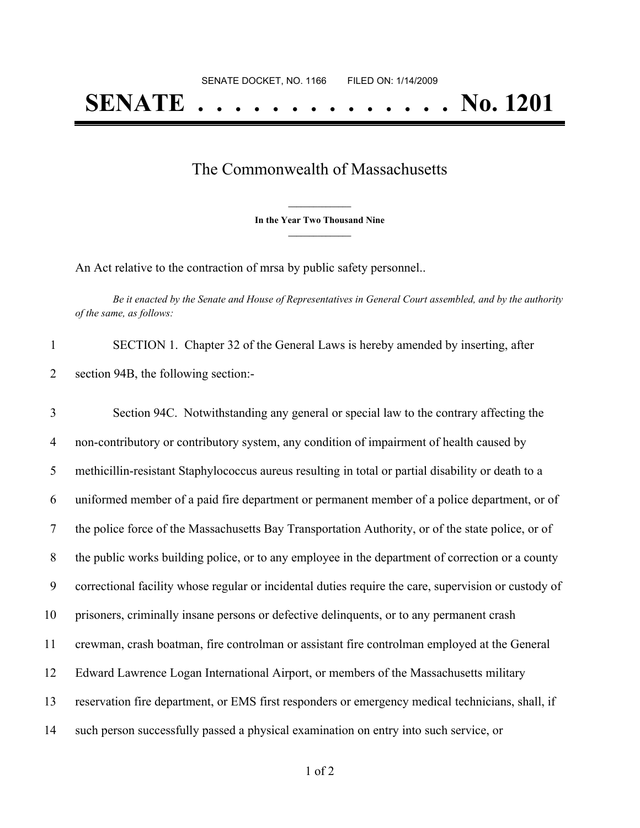## The Commonwealth of Massachusetts

**\_\_\_\_\_\_\_\_\_\_\_\_\_\_\_ In the Year Two Thousand Nine \_\_\_\_\_\_\_\_\_\_\_\_\_\_\_**

An Act relative to the contraction of mrsa by public safety personnel..

Be it enacted by the Senate and House of Representatives in General Court assembled, and by the authority *of the same, as follows:*

| SECTION 1. Chapter 32 of the General Laws is hereby amended by inserting, after |
|---------------------------------------------------------------------------------|
| section 94B, the following section:-                                            |

 Section 94C. Notwithstanding any general or special law to the contrary affecting the non-contributory or contributory system, any condition of impairment of health caused by methicillin-resistant Staphylococcus aureus resulting in total or partial disability or death to a uniformed member of a paid fire department or permanent member of a police department, or of the police force of the Massachusetts Bay Transportation Authority, or of the state police, or of the public works building police, or to any employee in the department of correction or a county correctional facility whose regular or incidental duties require the care, supervision or custody of prisoners, criminally insane persons or defective delinquents, or to any permanent crash crewman, crash boatman, fire controlman or assistant fire controlman employed at the General Edward Lawrence Logan International Airport, or members of the Massachusetts military reservation fire department, or EMS first responders or emergency medical technicians, shall, if such person successfully passed a physical examination on entry into such service, or